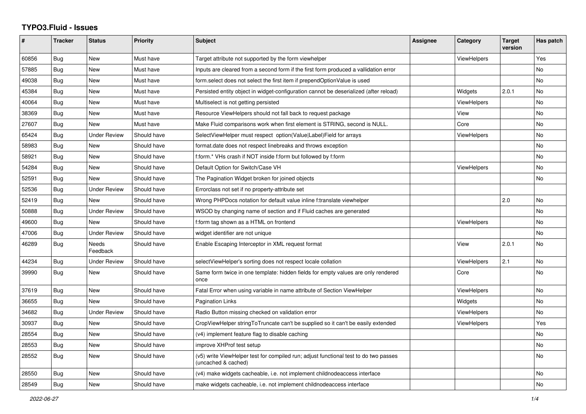## **TYPO3.Fluid - Issues**

| #     | <b>Tracker</b> | <b>Status</b>       | <b>Priority</b> | Subject                                                                                                     | Assignee | Category           | <b>Target</b><br>version | Has patch      |
|-------|----------------|---------------------|-----------------|-------------------------------------------------------------------------------------------------------------|----------|--------------------|--------------------------|----------------|
| 60856 | Bug            | New                 | Must have       | Target attribute not supported by the form viewhelper                                                       |          | <b>ViewHelpers</b> |                          | Yes            |
| 57885 | Bug            | New                 | Must have       | Inputs are cleared from a second form if the first form produced a vallidation error                        |          |                    |                          | No             |
| 49038 | Bug            | New                 | Must have       | form.select does not select the first item if prependOptionValue is used                                    |          |                    |                          | No             |
| 45384 | Bug            | <b>New</b>          | Must have       | Persisted entity object in widget-configuration cannot be deserialized (after reload)                       |          | Widgets            | 2.0.1                    | N <sub>o</sub> |
| 40064 | Bug            | <b>New</b>          | Must have       | Multiselect is not getting persisted                                                                        |          | <b>ViewHelpers</b> |                          | No             |
| 38369 | Bug            | New                 | Must have       | Resource ViewHelpers should not fall back to request package                                                |          | View               |                          | No             |
| 27607 | Bug            | <b>New</b>          | Must have       | Make Fluid comparisons work when first element is STRING, second is NULL.                                   |          | Core               |                          | No             |
| 65424 | Bug            | <b>Under Review</b> | Should have     | SelectViewHelper must respect option(Value Label)Field for arrays                                           |          | <b>ViewHelpers</b> |                          | No             |
| 58983 | Bug            | <b>New</b>          | Should have     | format.date does not respect linebreaks and throws exception                                                |          |                    |                          | No.            |
| 58921 | Bug            | New                 | Should have     | f:form.* VHs crash if NOT inside f:form but followed by f:form                                              |          |                    |                          | No             |
| 54284 | Bug            | New                 | Should have     | Default Option for Switch/Case VH                                                                           |          | <b>ViewHelpers</b> |                          | No             |
| 52591 | Bug            | <b>New</b>          | Should have     | The Pagination Widget broken for joined objects                                                             |          |                    |                          | No             |
| 52536 | Bug            | <b>Under Review</b> | Should have     | Errorclass not set if no property-attribute set                                                             |          |                    |                          |                |
| 52419 | Bug            | <b>New</b>          | Should have     | Wrong PHPDocs notation for default value inline f:translate viewhelper                                      |          |                    | 2.0                      | No             |
| 50888 | Bug            | <b>Under Review</b> | Should have     | WSOD by changing name of section and if Fluid caches are generated                                          |          |                    |                          | No             |
| 49600 | Bug            | <b>New</b>          | Should have     | f:form tag shown as a HTML on frontend                                                                      |          | <b>ViewHelpers</b> |                          | No.            |
| 47006 | Bug            | <b>Under Review</b> | Should have     | widget identifier are not unique                                                                            |          |                    |                          | No             |
| 46289 | Bug            | Needs<br>Feedback   | Should have     | Enable Escaping Interceptor in XML request format                                                           |          | View               | 2.0.1                    | No             |
| 44234 | Bug            | <b>Under Review</b> | Should have     | selectViewHelper's sorting does not respect locale collation                                                |          | <b>ViewHelpers</b> | 2.1                      | No             |
| 39990 | Bug            | New                 | Should have     | Same form twice in one template: hidden fields for empty values are only rendered<br>once                   |          | Core               |                          | No             |
| 37619 | Bug            | New                 | Should have     | Fatal Error when using variable in name attribute of Section ViewHelper                                     |          | <b>ViewHelpers</b> |                          | No             |
| 36655 | Bug            | <b>New</b>          | Should have     | <b>Pagination Links</b>                                                                                     |          | Widgets            |                          | No             |
| 34682 | Bug            | <b>Under Review</b> | Should have     | Radio Button missing checked on validation error                                                            |          | <b>ViewHelpers</b> |                          | No             |
| 30937 | Bug            | <b>New</b>          | Should have     | CropViewHelper stringToTruncate can't be supplied so it can't be easily extended                            |          | <b>ViewHelpers</b> |                          | Yes            |
| 28554 | Bug            | <b>New</b>          | Should have     | (v4) implement feature flag to disable caching                                                              |          |                    |                          | No             |
| 28553 | <b>Bug</b>     | <b>New</b>          | Should have     | improve XHProf test setup                                                                                   |          |                    |                          | No             |
| 28552 | Bug            | <b>New</b>          | Should have     | (v5) write ViewHelper test for compiled run; adjust functional test to do two passes<br>(uncached & cached) |          |                    |                          | No             |
| 28550 | Bug            | New                 | Should have     | (v4) make widgets cacheable, i.e. not implement childnodeaccess interface                                   |          |                    |                          | No             |
| 28549 | Bug            | New                 | Should have     | make widgets cacheable, i.e. not implement childnodeaccess interface                                        |          |                    |                          | No             |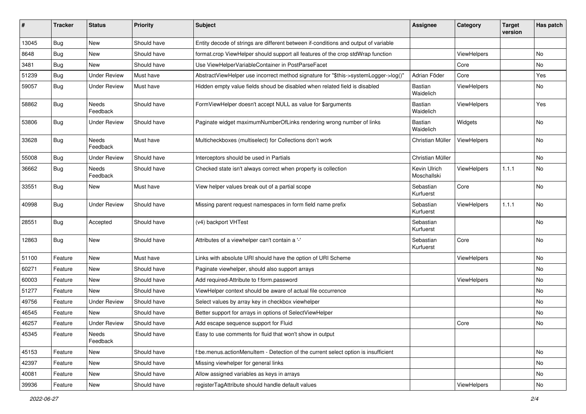| #     | <b>Tracker</b> | <b>Status</b>            | <b>Priority</b> | <b>Subject</b>                                                                      | <b>Assignee</b>             | Category    | <b>Target</b><br>version | Has patch |
|-------|----------------|--------------------------|-----------------|-------------------------------------------------------------------------------------|-----------------------------|-------------|--------------------------|-----------|
| 13045 | Bug            | New                      | Should have     | Entity decode of strings are different between if-conditions and output of variable |                             |             |                          |           |
| 8648  | Bug            | New                      | Should have     | format.crop ViewHelper should support all features of the crop stdWrap function     |                             | ViewHelpers |                          | No.       |
| 3481  | Bug            | New                      | Should have     | Use ViewHelperVariableContainer in PostParseFacet                                   |                             | Core        |                          | No        |
| 51239 | Bug            | <b>Under Review</b>      | Must have       | AbstractViewHelper use incorrect method signature for "\$this->systemLogger->log()" | Adrian Föder                | Core        |                          | Yes       |
| 59057 | Bug            | Under Review             | Must have       | Hidden empty value fields shoud be disabled when related field is disabled          | Bastian<br>Waidelich        | ViewHelpers |                          | No        |
| 58862 | Bug            | Needs<br>Feedback        | Should have     | FormViewHelper doesn't accept NULL as value for \$arguments                         | Bastian<br>Waidelich        | ViewHelpers |                          | Yes       |
| 53806 | Bug            | <b>Under Review</b>      | Should have     | Paginate widget maximumNumberOfLinks rendering wrong number of links                | <b>Bastian</b><br>Waidelich | Widgets     |                          | No        |
| 33628 | Bug            | <b>Needs</b><br>Feedback | Must have       | Multicheckboxes (multiselect) for Collections don't work                            | Christian Müller            | ViewHelpers |                          | No        |
| 55008 | Bug            | <b>Under Review</b>      | Should have     | Interceptors should be used in Partials                                             | Christian Müller            |             |                          | No.       |
| 36662 | <b>Bug</b>     | Needs<br>Feedback        | Should have     | Checked state isn't always correct when property is collection                      | Kevin Ulrich<br>Moschallski | ViewHelpers | 1.1.1                    | No        |
| 33551 | Bug            | New                      | Must have       | View helper values break out of a partial scope                                     | Sebastian<br>Kurfuerst      | Core        |                          | No        |
| 40998 | Bug            | <b>Under Review</b>      | Should have     | Missing parent request namespaces in form field name prefix                         | Sebastian<br>Kurfuerst      | ViewHelpers | 1.1.1                    | No        |
| 28551 | Bug            | Accepted                 | Should have     | (v4) backport VHTest                                                                | Sebastian<br>Kurfuerst      |             |                          | <b>No</b> |
| 12863 | Bug            | New                      | Should have     | Attributes of a viewhelper can't contain a '-'                                      | Sebastian<br>Kurfuerst      | Core        |                          | No        |
| 51100 | Feature        | New                      | Must have       | Links with absolute URI should have the option of URI Scheme                        |                             | ViewHelpers |                          | No        |
| 60271 | Feature        | New                      | Should have     | Paginate viewhelper, should also support arrays                                     |                             |             |                          | No        |
| 60003 | Feature        | New                      | Should have     | Add required-Attribute to f:form.password                                           |                             | ViewHelpers |                          | No        |
| 51277 | Feature        | New                      | Should have     | ViewHelper context should be aware of actual file occurrence                        |                             |             |                          | No        |
| 49756 | Feature        | <b>Under Review</b>      | Should have     | Select values by array key in checkbox viewhelper                                   |                             |             |                          | No.       |
| 46545 | Feature        | New                      | Should have     | Better support for arrays in options of SelectViewHelper                            |                             |             |                          | No        |
| 46257 | Feature        | <b>Under Review</b>      | Should have     | Add escape sequence support for Fluid                                               |                             | Core        |                          | No        |
| 45345 | Feature        | Needs<br>Feedback        | Should have     | Easy to use comments for fluid that won't show in output                            |                             |             |                          |           |
| 45153 | Feature        | New                      | Should have     | f:be.menus.actionMenuItem - Detection of the current select option is insufficient  |                             |             |                          | No        |
| 42397 | Feature        | New                      | Should have     | Missing viewhelper for general links                                                |                             |             |                          | No        |
| 40081 | Feature        | New                      | Should have     | Allow assigned variables as keys in arrays                                          |                             |             |                          | No        |
| 39936 | Feature        | New                      | Should have     | registerTagAttribute should handle default values                                   |                             | ViewHelpers |                          | No        |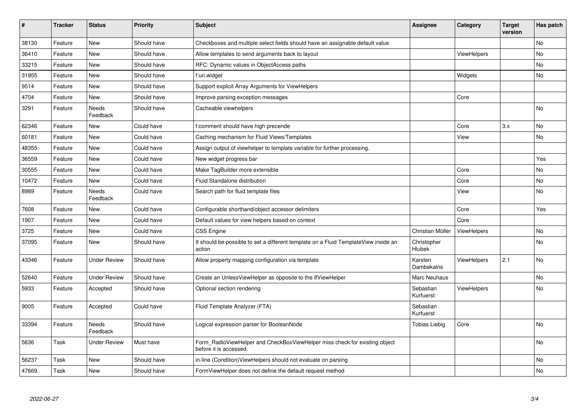| #     | <b>Tracker</b> | <b>Status</b>       | <b>Priority</b> | <b>Subject</b>                                                                                       | <b>Assignee</b>        | Category           | <b>Target</b><br>version | Has patch |
|-------|----------------|---------------------|-----------------|------------------------------------------------------------------------------------------------------|------------------------|--------------------|--------------------------|-----------|
| 38130 | Feature        | New                 | Should have     | Checkboxes and multiple select fields should have an assignable default value                        |                        |                    |                          | <b>No</b> |
| 36410 | Feature        | New                 | Should have     | Allow templates to send arguments back to layout                                                     |                        | <b>ViewHelpers</b> |                          | No        |
| 33215 | Feature        | New                 | Should have     | RFC: Dynamic values in ObjectAccess paths                                                            |                        |                    |                          | No        |
| 31955 | Feature        | <b>New</b>          | Should have     | f:uri.widget                                                                                         |                        | Widgets            |                          | No        |
| 9514  | Feature        | New                 | Should have     | Support explicit Array Arguments for ViewHelpers                                                     |                        |                    |                          |           |
| 4704  | Feature        | New                 | Should have     | Improve parsing exception messages                                                                   |                        | Core               |                          |           |
| 3291  | Feature        | Needs<br>Feedback   | Should have     | Cacheable viewhelpers                                                                                |                        |                    |                          | <b>No</b> |
| 62346 | Feature        | New                 | Could have      | f:comment should have high precende                                                                  |                        | Core               | 3.x                      | <b>No</b> |
| 60181 | Feature        | New                 | Could have      | Caching mechanism for Fluid Views/Templates                                                          |                        | View               |                          | <b>No</b> |
| 48355 | Feature        | <b>New</b>          | Could have      | Assign output of viewhelper to template variable for further processing.                             |                        |                    |                          |           |
| 36559 | Feature        | New                 | Could have      | New widget progress bar                                                                              |                        |                    |                          | Yes       |
| 30555 | Feature        | New                 | Could have      | Make TagBuilder more extensible                                                                      |                        | Core               |                          | No        |
| 10472 | Feature        | New                 | Could have      | Fluid Standalone distribution                                                                        |                        | Core               |                          | <b>No</b> |
| 8989  | Feature        | Needs<br>Feedback   | Could have      | Search path for fluid template files                                                                 |                        | View               |                          | No        |
| 7608  | Feature        | New                 | Could have      | Configurable shorthand/object accessor delimiters                                                    |                        | Core               |                          | Yes       |
| 1907  | Feature        | New                 | Could have      | Default values for view helpers based on context                                                     |                        | Core               |                          |           |
| 3725  | Feature        | New                 | Could have      | <b>CSS Engine</b>                                                                                    | Christian Müller       | ViewHelpers        |                          | No        |
| 37095 | Feature        | New                 | Should have     | It should be possible to set a different template on a Fluid TemplateView inside an<br>action        | Christopher<br>Hlubek  |                    |                          | No        |
| 43346 | Feature        | <b>Under Review</b> | Should have     | Allow property mapping configuration via template                                                    | Karsten<br>Dambekalns  | ViewHelpers        | 2.1                      | No        |
| 52640 | Feature        | <b>Under Review</b> | Should have     | Create an UnlessViewHelper as opposite to the IfViewHelper                                           | Marc Neuhaus           |                    |                          | No        |
| 5933  | Feature        | Accepted            | Should have     | Optional section rendering                                                                           | Sebastian<br>Kurfuerst | <b>ViewHelpers</b> |                          | No        |
| 9005  | Feature        | Accepted            | Could have      | Fluid Template Analyzer (FTA)                                                                        | Sebastian<br>Kurfuerst |                    |                          |           |
| 33394 | Feature        | Needs<br>Feedback   | Should have     | Logical expression parser for BooleanNode                                                            | Tobias Liebig          | Core               |                          | No        |
| 5636  | Task           | Under Review        | Must have       | Form RadioViewHelper and CheckBoxViewHelper miss check for existing object<br>before it is accessed. |                        |                    |                          | No        |
| 56237 | Task           | New                 | Should have     | in-line (Condition)ViewHelpers should not evaluate on parsing                                        |                        |                    |                          | <b>No</b> |
| 47669 | Task           | <b>New</b>          | Should have     | FormViewHelper does not define the default request method                                            |                        |                    |                          | No        |